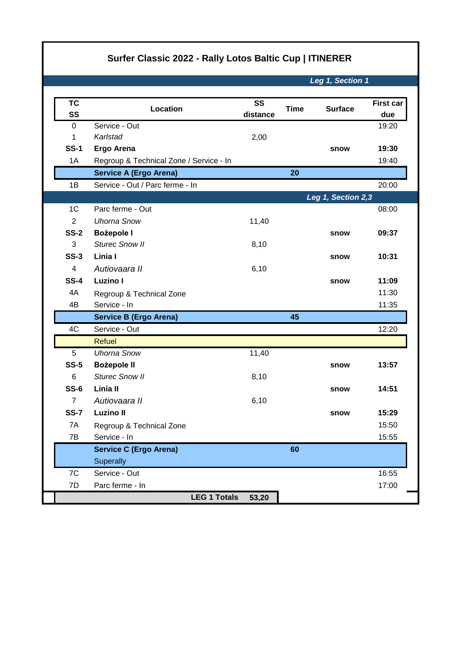## **Surfer Classic 2022 - Rally Lotos Baltic Cup | ITINERER**

*Leg 1, Section 1*

| <b>TC</b>      | Location                                | SS       | <b>Time</b> | <b>Surface</b>     | <b>First car</b> |
|----------------|-----------------------------------------|----------|-------------|--------------------|------------------|
| SS             |                                         | distance |             |                    | due              |
| $\mathbf 0$    | Service - Out                           |          |             |                    | 19:20            |
| 1              | Karlstad                                | 2,00     |             |                    |                  |
| <b>SS-1</b>    | Ergo Arena                              |          |             | snow               | 19:30            |
| 1A             | Regroup & Technical Zone / Service - In |          |             |                    | 19:40            |
|                | <b>Service A (Ergo Arena)</b>           |          | 20          |                    |                  |
| 1B             | Service - Out / Parc ferme - In         |          |             |                    | 20:00            |
|                |                                         |          |             | Leg 1, Section 2,3 |                  |
| 1 <sup>C</sup> | Parc ferme - Out                        |          |             |                    | 08:00            |
| $\overline{2}$ | <b>Uhorna Snow</b>                      | 11,40    |             |                    |                  |
| <b>SS-2</b>    | <b>Bożepole I</b>                       |          |             | snow               | 09:37            |
| 3              | <b>Sturec Snow II</b>                   | 8,10     |             |                    |                  |
| $SS-3$         | Linia I                                 |          |             | snow               | 10:31            |
| 4              | Autiovaara II                           | 6,10     |             |                    |                  |
| <b>SS-4</b>    | Luzino I                                |          |             | snow               | 11:09            |
| 4A             | Regroup & Technical Zone                |          |             |                    | 11:30            |
| 4B             | Service - In                            |          |             |                    | 11:35            |
|                | <b>Service B (Ergo Arena)</b>           |          | 45          |                    |                  |
| 4C             | Service - Out                           |          |             |                    | 12:20            |
|                | <b>Refuel</b>                           |          |             |                    |                  |
| 5              | <b>Uhorna Snow</b>                      | 11,40    |             |                    |                  |
| $SS-5$         | <b>Bożepole II</b>                      |          |             | snow               | 13:57            |
| 6              | <b>Sturec Snow II</b>                   | 8,10     |             |                    |                  |
| $SS-6$         | Linia II                                |          |             | snow               | 14:51            |
| $\overline{7}$ | Autiovaara II                           | 6,10     |             |                    |                  |
| <b>SS-7</b>    | <b>Luzino II</b>                        |          |             | snow               | 15:29            |
| 7A             | Regroup & Technical Zone                |          |             |                    | 15:50            |
| 7B             | Service - In                            |          |             |                    | 15:55            |
|                | <b>Service C (Ergo Arena)</b>           |          | 60          |                    |                  |
|                | Superally                               |          |             |                    |                  |
| 7C             | Service - Out                           |          |             |                    | 16:55            |
| 7D             | Parc ferme - In                         |          |             |                    | 17:00            |
|                | <b>LEG 1 Totals</b>                     | 53,20    |             |                    |                  |